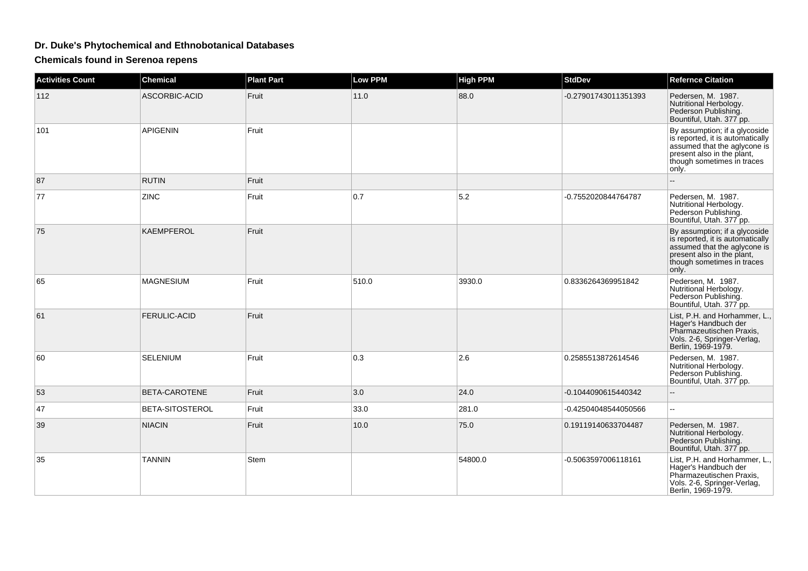## **Dr. Duke's Phytochemical and Ethnobotanical Databases**

**Chemicals found in Serenoa repens**

| <b>Activities Count</b> | <b>Chemical</b>     | <b>Plant Part</b> | <b>Low PPM</b> | <b>High PPM</b> | <b>StdDev</b>        | <b>Refernce Citation</b>                                                                                                                                               |
|-------------------------|---------------------|-------------------|----------------|-----------------|----------------------|------------------------------------------------------------------------------------------------------------------------------------------------------------------------|
| 112                     | ASCORBIC-ACID       | Fruit             | 11.0           | 88.0            | -0.27901743011351393 | Pedersen, M. 1987.<br>Nutritional Herbology.<br>Pederson Publishing.<br>Bountiful, Utah. 377 pp.                                                                       |
| 101                     | <b>APIGENIN</b>     | Fruit             |                |                 |                      | By assumption; if a glycoside<br>is reported, it is automatically<br>assumed that the aglycone is<br>present also in the plant,<br>though sometimes in traces<br>only. |
| 87                      | <b>RUTIN</b>        | Fruit             |                |                 |                      |                                                                                                                                                                        |
| 77                      | ZINC                | Fruit             | 0.7            | 5.2             | -0.7552020844764787  | Pedersen, M. 1987.<br>Nutritional Herbology.<br>Pederson Publishing.<br>Bountiful, Utah. 377 pp.                                                                       |
| 75                      | KAEMPFEROL          | Fruit             |                |                 |                      | By assumption; if a glycoside<br>is reported, it is automatically<br>assumed that the aglycone is<br>present also in the plant.<br>though sometimes in traces<br>only. |
| 65                      | <b>MAGNESIUM</b>    | Fruit             | 510.0          | 3930.0          | 0.8336264369951842   | Pedersen, M. 1987.<br>Nutritional Herbology.<br>Pederson Publishing.<br>Bountiful, Utah. 377 pp.                                                                       |
| 61                      | <b>FERULIC-ACID</b> | Fruit             |                |                 |                      | List, P.H. and Horhammer, L.,<br>Hager's Handbuch der<br>Pharmazeutischen Praxis.<br>Vols. 2-6, Springer-Verlag,<br>Berlin, 1969-1979.                                 |
| 60                      | <b>SELENIUM</b>     | Fruit             | 0.3            | 2.6             | 0.2585513872614546   | Pedersen, M. 1987.<br>Nutritional Herbology.<br>Pederson Publishing.<br>Bountiful, Utah. 377 pp.                                                                       |
| 53                      | BETA-CAROTENE       | Fruit             | 3.0            | 24.0            | -0.1044090615440342  |                                                                                                                                                                        |
| 47                      | BETA-SITOSTEROL     | Fruit             | 33.0           | 281.0           | -0.42504048544050566 | Щ,                                                                                                                                                                     |
| 39                      | <b>NIACIN</b>       | Fruit             | 10.0           | 75.0            | 0.19119140633704487  | Pedersen, M. 1987.<br>Nutritional Herbology.<br>Pederson Publishing.<br>Bountiful, Utah. 377 pp.                                                                       |
| 35                      | <b>TANNIN</b>       | <b>Stem</b>       |                | 54800.0         | -0.5063597006118161  | List, P.H. and Horhammer, L.,<br>Hager's Handbuch der<br>Pharmazeutischen Praxis,<br>Vols. 2-6, Springer-Verlag,<br>Berlin, 1969-1979.                                 |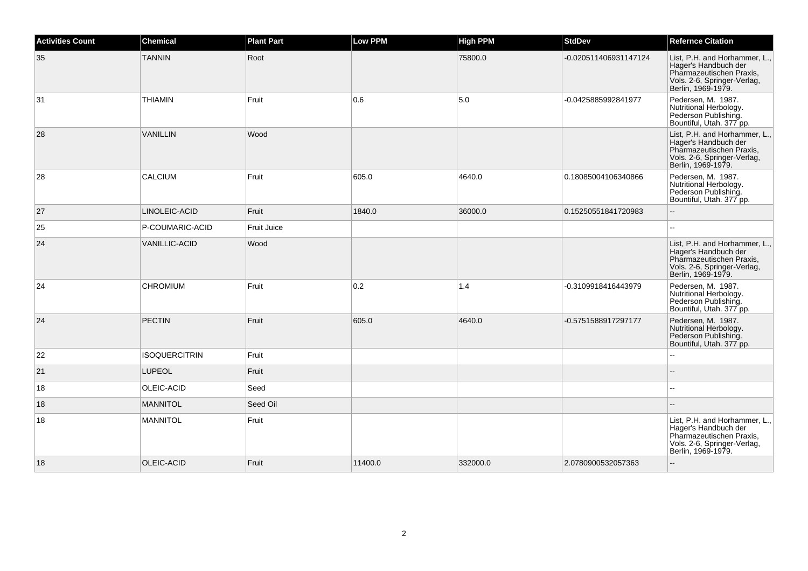| <b>Activities Count</b> | <b>Chemical</b>      | <b>Plant Part</b>  | <b>Low PPM</b> | <b>High PPM</b> | <b>StdDev</b>         | <b>Refernce Citation</b>                                                                                                               |
|-------------------------|----------------------|--------------------|----------------|-----------------|-----------------------|----------------------------------------------------------------------------------------------------------------------------------------|
| 35                      | <b>TANNIN</b>        | Root               |                | 75800.0         | -0.020511406931147124 | List, P.H. and Horhammer, L.,<br>Hager's Handbuch der<br>Pharmazeutischen Praxis,<br>Vols. 2-6, Springer-Verlag,<br>Berlin, 1969-1979. |
| 31                      | <b>THIAMIN</b>       | Fruit              | 0.6            | 5.0             | -0.0425885992841977   | Pedersen, M. 1987.<br>Nutritional Herbology.<br>Pederson Publishing.<br>Bountiful, Utah. 377 pp.                                       |
| 28                      | <b>VANILLIN</b>      | Wood               |                |                 |                       | List, P.H. and Horhammer, L.,<br>Hager's Handbuch der<br>Pharmazeutischen Praxis,<br>Vols. 2-6, Springer-Verlag,<br>Berlin, 1969-1979. |
| 28                      | <b>CALCIUM</b>       | Fruit              | 605.0          | 4640.0          | 0.18085004106340866   | Pedersen, M. 1987.<br>Nutritional Herbology.<br>Pederson Publishing.<br>Bountiful, Utah. 377 pp.                                       |
| 27                      | LINOLEIC-ACID        | Fruit              | 1840.0         | 36000.0         | 0.15250551841720983   |                                                                                                                                        |
| 25                      | P-COUMARIC-ACID      | <b>Fruit Juice</b> |                |                 |                       |                                                                                                                                        |
| 24                      | <b>VANILLIC-ACID</b> | Wood               |                |                 |                       | List, P.H. and Horhammer, L.,<br>Hager's Handbuch der<br>Pharmazeutischen Praxis,<br>Vols. 2-6, Springer-Verlag,<br>Berlin, 1969-1979. |
| 24                      | <b>CHROMIUM</b>      | Fruit              | 0.2            | 1.4             | -0.3109918416443979   | Pedersen, M. 1987.<br>Nutritional Herbology.<br>Pederson Publishing.<br>Bountiful, Utah. 377 pp.                                       |
| 24                      | <b>PECTIN</b>        | Fruit              | 605.0          | 4640.0          | -0.5751588917297177   | Pedersen, M. 1987.<br>Nutritional Herbology.<br>Pederson Publishing.<br>Bountiful, Utah. 377 pp.                                       |
| 22                      | <b>ISOQUERCITRIN</b> | Fruit              |                |                 |                       |                                                                                                                                        |
| 21                      | <b>LUPEOL</b>        | Fruit              |                |                 |                       |                                                                                                                                        |
| 18                      | OLEIC-ACID           | Seed               |                |                 |                       |                                                                                                                                        |
| 18                      | <b>MANNITOL</b>      | Seed Oil           |                |                 |                       |                                                                                                                                        |
| 18                      | <b>MANNITOL</b>      | Fruit              |                |                 |                       | List, P.H. and Horhammer, L.,<br>Hager's Handbuch der<br>Pharmazeutischen Praxis,<br>Vols. 2-6, Springer-Verlag,<br>Berlin, 1969-1979. |
| 18                      | OLEIC-ACID           | Fruit              | 11400.0        | 332000.0        | 2.0780900532057363    |                                                                                                                                        |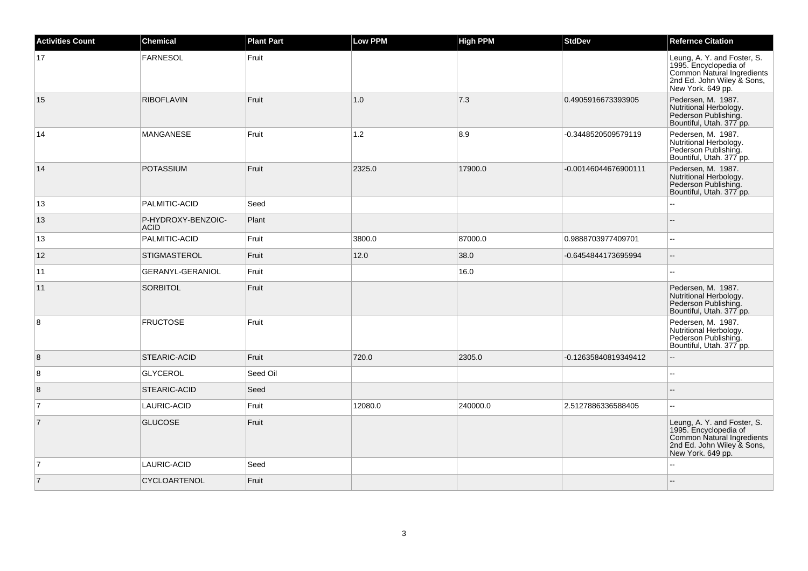| <b>Activities Count</b> | Chemical                          | <b>Plant Part</b> | <b>Low PPM</b> | <b>High PPM</b> | <b>StdDev</b>        | <b>Refernce Citation</b>                                                                                                              |
|-------------------------|-----------------------------------|-------------------|----------------|-----------------|----------------------|---------------------------------------------------------------------------------------------------------------------------------------|
| 17                      | <b>FARNESOL</b>                   | Fruit             |                |                 |                      | Leung, A. Y. and Foster, S.<br>1995. Encyclopedia of<br>Common Natural Ingredients<br>2nd Ed. John Wiley & Sons,<br>New York. 649 pp. |
| 15                      | <b>RIBOFLAVIN</b>                 | Fruit             | 1.0            | 7.3             | 0.4905916673393905   | Pedersen, M. 1987.<br>Nutritional Herbology.<br>Pederson Publishing.<br>Bountiful, Utah. 377 pp.                                      |
| 14                      | <b>MANGANESE</b>                  | Fruit             | 1.2            | 8.9             | -0.3448520509579119  | Pedersen, M. 1987.<br>Nutritional Herbology.<br>Pederson Publishing.<br>Bountiful, Utah. 377 pp.                                      |
| 14                      | <b>POTASSIUM</b>                  | Fruit             | 2325.0         | 17900.0         | -0.00146044676900111 | Pedersen, M. 1987.<br>Nutritional Herbology.<br>Pederson Publishing.<br>Bountiful, Utah. 377 pp.                                      |
| 13                      | PALMITIC-ACID                     | Seed              |                |                 |                      | $\sim$ $\sim$                                                                                                                         |
| 13                      | P-HYDROXY-BENZOIC-<br><b>ACID</b> | Plant             |                |                 |                      | $\overline{\phantom{a}}$                                                                                                              |
| 13                      | PALMITIC-ACID                     | Fruit             | 3800.0         | 87000.0         | 0.9888703977409701   | $\ddotsc$                                                                                                                             |
| 12                      | <b>STIGMASTEROL</b>               | Fruit             | 12.0           | 38.0            | -0.6454844173695994  | $\overline{\phantom{a}}$                                                                                                              |
| 11                      | GERANYL-GERANIOL                  | Fruit             |                | 16.0            |                      | $\sim$ $\sim$                                                                                                                         |
| 11                      | <b>SORBITOL</b>                   | Fruit             |                |                 |                      | Pedersen, M. 1987.<br>Nutritional Herbology.<br>Pederson Publishing.<br>Bountiful, Utah. 377 pp.                                      |
| 8                       | <b>FRUCTOSE</b>                   | Fruit             |                |                 |                      | Pedersen, M. 1987.<br>Nutritional Herbology.<br>Pederson Publishing.<br>Bountiful, Utah. 377 pp.                                      |
| 8                       | STEARIC-ACID                      | Fruit             | 720.0          | 2305.0          | -0.12635840819349412 |                                                                                                                                       |
| 8                       | <b>GLYCEROL</b>                   | Seed Oil          |                |                 |                      | $\sim$                                                                                                                                |
| 8                       | STEARIC-ACID                      | Seed              |                |                 |                      |                                                                                                                                       |
| $\overline{7}$          | LAURIC-ACID                       | Fruit             | 12080.0        | 240000.0        | 2.5127886336588405   |                                                                                                                                       |
| $\overline{7}$          | <b>GLUCOSE</b>                    | Fruit             |                |                 |                      | Leung, A. Y. and Foster, S.<br>1995. Encyclopedia of<br>Common Natural Ingredients<br>2nd Ed. John Wiley & Sons,<br>New York. 649 pp. |
| $\vert$ 7               | LAURIC-ACID                       | Seed              |                |                 |                      |                                                                                                                                       |
| 7                       | CYCLOARTENOL                      | Fruit             |                |                 |                      |                                                                                                                                       |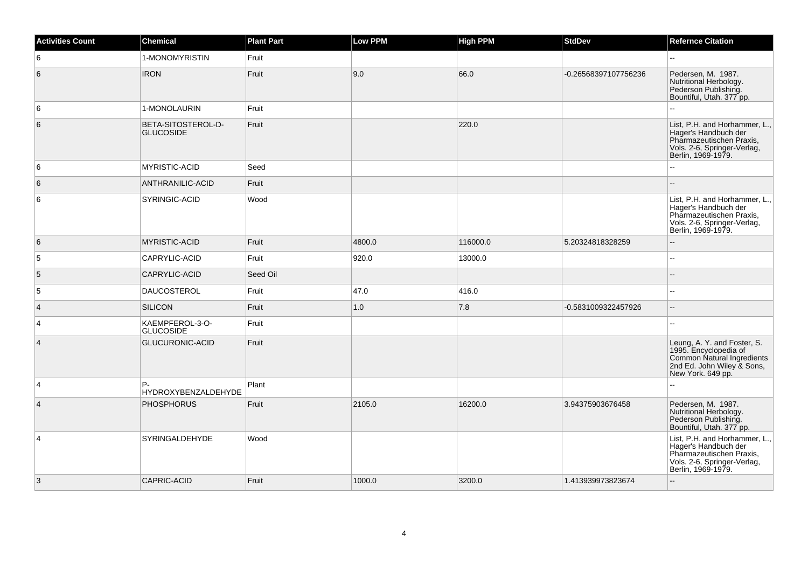| <b>Activities Count</b> | <b>Chemical</b>                        | <b>Plant Part</b> | <b>Low PPM</b> | <b>High PPM</b> | <b>StdDev</b>        | <b>Refernce Citation</b>                                                                                                               |
|-------------------------|----------------------------------------|-------------------|----------------|-----------------|----------------------|----------------------------------------------------------------------------------------------------------------------------------------|
| 6                       | 1-MONOMYRISTIN                         | Fruit             |                |                 |                      | 44                                                                                                                                     |
| 6                       | <b>IRON</b>                            | Fruit             | 9.0            | 66.0            | -0.26568397107756236 | Pedersen, M. 1987.<br>Nutritional Herbology.<br>Pederson Publishing.<br>Bountiful, Utah. 377 pp.                                       |
| 6                       | 1-MONOLAURIN                           | Fruit             |                |                 |                      | L.                                                                                                                                     |
| 6                       | BETA-SITOSTEROL-D-<br><b>GLUCOSIDE</b> | Fruit             |                | 220.0           |                      | List, P.H. and Horhammer, L.,<br>Hager's Handbuch der<br>Pharmazeutischen Praxis,<br>Vols. 2-6, Springer-Verlag,<br>Berlin, 1969-1979. |
| 6                       | MYRISTIC-ACID                          | Seed              |                |                 |                      | Щ,                                                                                                                                     |
| 6                       | ANTHRANILIC-ACID                       | Fruit             |                |                 |                      |                                                                                                                                        |
| 6                       | SYRINGIC-ACID                          | Wood              |                |                 |                      | List, P.H. and Horhammer, L.,<br>Hager's Handbuch der<br>Pharmazeutischen Praxis,<br>Vols. 2-6, Springer-Verlag,<br>Berlin, 1969-1979. |
| 6                       | <b>MYRISTIC-ACID</b>                   | Fruit             | 4800.0         | 116000.0        | 5.20324818328259     | $\overline{\phantom{a}}$                                                                                                               |
| 5                       | CAPRYLIC-ACID                          | Fruit             | 920.0          | 13000.0         |                      | шш.                                                                                                                                    |
| 5                       | CAPRYLIC-ACID                          | Seed Oil          |                |                 |                      | --                                                                                                                                     |
| 5                       | <b>DAUCOSTEROL</b>                     | Fruit             | 47.0           | 416.0           |                      | $\sim$ $\sim$                                                                                                                          |
| $\vert$ 4               | <b>SILICON</b>                         | Fruit             | 1.0            | 7.8             | -0.5831009322457926  | $-$                                                                                                                                    |
| $\overline{4}$          | KAEMPFEROL-3-O-<br><b>GLUCOSIDE</b>    | Fruit             |                |                 |                      | ۵.                                                                                                                                     |
| $\overline{4}$          | GLUCURONIC-ACID                        | Fruit             |                |                 |                      | Leung, A. Y. and Foster, S.<br>1995. Encyclopedia of<br>Common Natural Ingredients<br>2nd Ed. John Wiley & Sons,<br>New York. 649 pp.  |
| $\overline{4}$          | P.<br><b>HYDROXYBENZALDEHYDE</b>       | Plant             |                |                 |                      | --                                                                                                                                     |
| $\vert$ 4               | <b>PHOSPHORUS</b>                      | Fruit             | 2105.0         | 16200.0         | 3.94375903676458     | Pedersen, M. 1987.<br>Nutritional Herbology.<br>Pederson Publishing.<br>Bountiful, Utah. 377 pp.                                       |
| $\overline{4}$          | <b>SYRINGALDEHYDE</b>                  | Wood              |                |                 |                      | List, P.H. and Horhammer, L.,<br>Hager's Handbuch der<br>Pharmazeutischen Praxis,<br>Vols. 2-6, Springer-Verlag,<br>Berlin, 1969-1979. |
| $\overline{3}$          | <b>CAPRIC-ACID</b>                     | Fruit             | 1000.0         | 3200.0          | 1.413939973823674    | --                                                                                                                                     |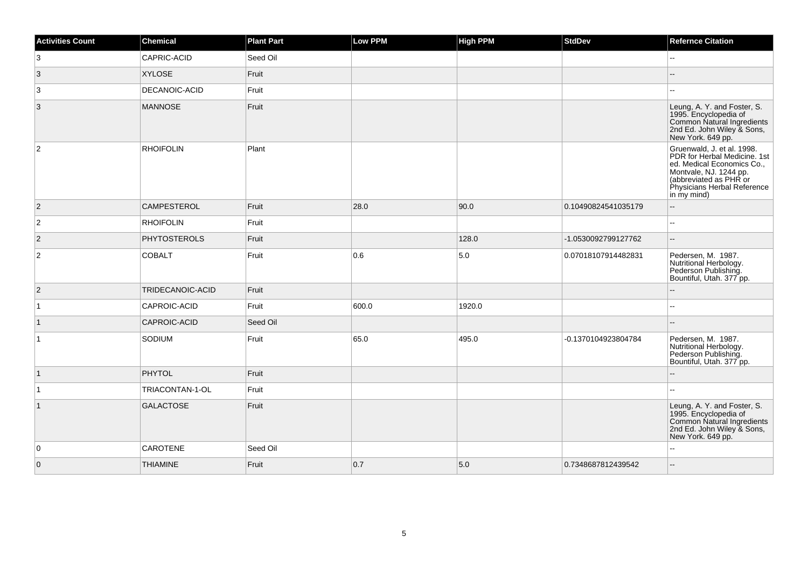| <b>Activities Count</b> | Chemical            | <b>Plant Part</b> | Low PPM | <b>High PPM</b> | <b>StdDev</b>       | <b>Refernce Citation</b>                                                                                                                                                                   |
|-------------------------|---------------------|-------------------|---------|-----------------|---------------------|--------------------------------------------------------------------------------------------------------------------------------------------------------------------------------------------|
| 3                       | CAPRIC-ACID         | Seed Oil          |         |                 |                     | $\overline{a}$                                                                                                                                                                             |
| $\overline{3}$          | <b>XYLOSE</b>       | Fruit             |         |                 |                     |                                                                                                                                                                                            |
| 3                       | DECANOIC-ACID       | Fruit             |         |                 |                     |                                                                                                                                                                                            |
| $\overline{3}$          | <b>MANNOSE</b>      | Fruit             |         |                 |                     | Leung, A. Y. and Foster, S.<br>1995. Encyclopedia of<br>Common Natural Ingredients<br>2nd Ed. John Wiley & Sons,<br>New York. 649 pp.                                                      |
| $\overline{2}$          | <b>RHOIFOLIN</b>    | Plant             |         |                 |                     | Gruenwald, J. et al. 1998.<br>PDR for Herbal Medicine. 1st<br>ed. Medical Economics Co.,<br>Montvale, NJ. 1244 pp.<br>(abbreviated as PHR or<br>Physicians Herbal Reference<br>in my mind) |
| $\overline{2}$          | <b>CAMPESTEROL</b>  | Fruit             | 28.0    | 90.0            | 0.10490824541035179 |                                                                                                                                                                                            |
| $\overline{2}$          | <b>RHOIFOLIN</b>    | Fruit             |         |                 |                     | Ξ.                                                                                                                                                                                         |
| $ 2\rangle$             | <b>PHYTOSTEROLS</b> | Fruit             |         | 128.0           | -1.0530092799127762 |                                                                                                                                                                                            |
| $\overline{2}$          | <b>COBALT</b>       | Fruit             | 0.6     | 5.0             | 0.07018107914482831 | Pedersen, M. 1987.<br>Nutritional Herbology.<br>Pederson Publishing.<br>Bountiful, Utah. 377 pp.                                                                                           |
| $\overline{2}$          | TRIDECANOIC-ACID    | Fruit             |         |                 |                     |                                                                                                                                                                                            |
| $\vert$ 1               | CAPROIC-ACID        | Fruit             | 600.0   | 1920.0          |                     |                                                                                                                                                                                            |
| $\vert$ 1               | CAPROIC-ACID        | Seed Oil          |         |                 |                     |                                                                                                                                                                                            |
| $\overline{1}$          | SODIUM              | Fruit             | 65.0    | 495.0           | -0.1370104923804784 | Pedersen, M. 1987.<br>Nutritional Herbology.<br>Pederson Publishing.<br>Bountiful, Utah. 377 pp.                                                                                           |
| $\vert$ 1               | PHYTOL              | Fruit             |         |                 |                     |                                                                                                                                                                                            |
| $\vert$ 1               | TRIACONTAN-1-OL     | Fruit             |         |                 |                     |                                                                                                                                                                                            |
| $\vert$ 1               | <b>GALACTOSE</b>    | Fruit             |         |                 |                     | Leung, A. Y. and Foster, S.<br>1995. Encyclopedia of<br>Common Natural Ingredients<br>2nd Ed. John Wiley & Sons,<br>New York. 649 pp.                                                      |
| $\overline{0}$          | <b>CAROTENE</b>     | Seed Oil          |         |                 |                     |                                                                                                                                                                                            |
| $\overline{0}$          | <b>THIAMINE</b>     | Fruit             | 0.7     | 5.0             | 0.7348687812439542  |                                                                                                                                                                                            |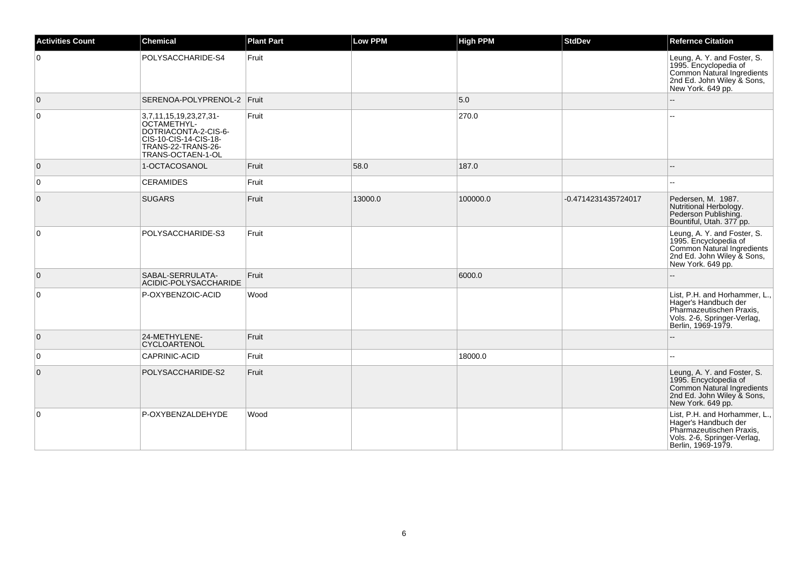| <b>Activities Count</b> | Chemical                                                                                                                          | <b>Plant Part</b> | <b>Low PPM</b> | <b>High PPM</b> | <b>StdDev</b>       | <b>Refernce Citation</b>                                                                                                                     |
|-------------------------|-----------------------------------------------------------------------------------------------------------------------------------|-------------------|----------------|-----------------|---------------------|----------------------------------------------------------------------------------------------------------------------------------------------|
| $\mathbf 0$             | POLYSACCHARIDE-S4                                                                                                                 | Fruit             |                |                 |                     | Leung, A. Y. and Foster, S.<br>1995. Encyclopedia of<br><b>Common Natural Ingredients</b><br>2nd Ed. John Wiley & Sons,<br>New York. 649 pp. |
| $\overline{0}$          | SERENOA-POLYPRENOL-2 Fruit                                                                                                        |                   |                | 5.0             |                     |                                                                                                                                              |
| 0                       | 3,7,11,15,19,23,27,31-<br>OCTAMETHYL-<br>DOTRIACONTA-2-CIS-6-<br>CIS-10-CIS-14-CIS-18-<br>TRANS-22-TRANS-26-<br>TRANS-OCTAEN-1-OL | Fruit             |                | 270.0           |                     |                                                                                                                                              |
| $\overline{0}$          | 1-OCTACOSANOL                                                                                                                     | Fruit             | 58.0           | 187.0           |                     |                                                                                                                                              |
| 0                       | <b>CERAMIDES</b>                                                                                                                  | Fruit             |                |                 |                     |                                                                                                                                              |
| $\mathbf 0$             | <b>SUGARS</b>                                                                                                                     | Fruit             | 13000.0        | 100000.0        | -0.4714231435724017 | Pedersen, M. 1987.<br>Nutritional Herbology.<br>Pederson Publishing.<br>Bountiful, Utah. 377 pp.                                             |
| $\mathbf 0$             | POLYSACCHARIDE-S3                                                                                                                 | Fruit             |                |                 |                     | Leung, A. Y. and Foster, S.<br>1995. Encyclopedia of<br>Common Natural Ingredients<br>2nd Ed. John Wiley & Sons,<br>New York. 649 pp.        |
| $\overline{0}$          | SABAL-SERRULATA-<br>ACIDIC-POLYSACCHARIDE                                                                                         | Fruit             |                | 6000.0          |                     |                                                                                                                                              |
| 0                       | P-OXYBENZOIC-ACID                                                                                                                 | Wood              |                |                 |                     | List, P.H. and Horhammer, L.,<br>Hager's Handbuch der<br>Pharmazeutischen Praxis,<br>Vols. 2-6, Springer-Verlag,<br>Berlin, 1969-1979.       |
| $\mathbf 0$             | 24-METHYLENE-<br><b>CYCLOARTENOL</b>                                                                                              | Fruit             |                |                 |                     |                                                                                                                                              |
| 0                       | CAPRINIC-ACID                                                                                                                     | Fruit             |                | 18000.0         |                     | $\sim$                                                                                                                                       |
| $\mathbf{0}$            | POLYSACCHARIDE-S2                                                                                                                 | Fruit             |                |                 |                     | Leung, A. Y. and Foster, S.<br>1995. Encyclopedia of<br>Common Natural Ingredients<br>2nd Ed. John Wiley & Sons,<br>New York. 649 pp.        |
| 0                       | P-OXYBENZALDEHYDE                                                                                                                 | Wood              |                |                 |                     | List, P.H. and Horhammer, L.,<br>Hager's Handbuch der<br>Pharmazeutischen Praxis,<br>Vols. 2-6, Springer-Verlag,<br>Berlin, 1969-1979.       |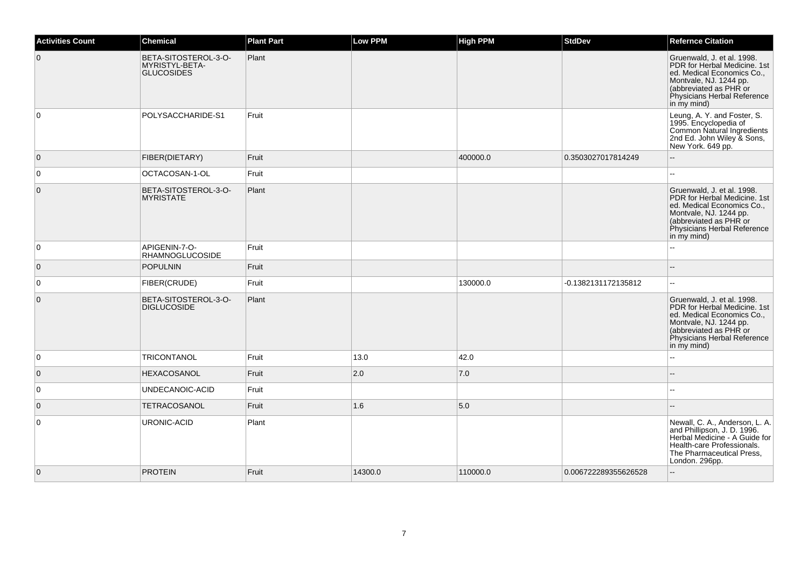| <b>Activities Count</b> | <b>Chemical</b>                                             | <b>Plant Part</b> | <b>Low PPM</b> | <b>High PPM</b> | <b>StdDev</b>        | <b>Refernce Citation</b>                                                                                                                                                                   |
|-------------------------|-------------------------------------------------------------|-------------------|----------------|-----------------|----------------------|--------------------------------------------------------------------------------------------------------------------------------------------------------------------------------------------|
| $\overline{0}$          | BETA-SITOSTEROL-3-O-<br>MYRISTYL-BETA-<br><b>GLUCOSIDES</b> | Plant             |                |                 |                      | Gruenwald, J. et al. 1998.<br>PDR for Herbal Medicine, 1st<br>ed. Medical Economics Co.,<br>Montvale, NJ. 1244 pp.<br>(abbreviated as PHR or<br>Physicians Herbal Reference<br>in my mind) |
| $\overline{0}$          | POLYSACCHARIDE-S1                                           | Fruit             |                |                 |                      | Leung, A. Y. and Foster, S.<br>1995. Encyclopedia of<br>Common Natural Ingredients<br>2nd Ed. John Wiley & Sons,<br>New York. 649 pp.                                                      |
| $\overline{0}$          | FIBER(DIETARY)                                              | Fruit             |                | 400000.0        | 0.3503027017814249   |                                                                                                                                                                                            |
| $\overline{0}$          | OCTACOSAN-1-OL                                              | Fruit             |                |                 |                      |                                                                                                                                                                                            |
| $\overline{0}$          | BETA-SITOSTEROL-3-O-<br><b>MYRISTATE</b>                    | Plant             |                |                 |                      | Gruenwald, J. et al. 1998.<br>PDR for Herbal Medicine. 1st<br>ed. Medical Economics Co.,<br>Montvale, NJ. 1244 pp.<br>(abbreviated as PHR or<br>Physicians Herbal Reference<br>in my mind) |
| $\overline{0}$          | APIGENIN-7-O-<br><b>RHAMNOGLUCOSIDE</b>                     | Fruit             |                |                 |                      |                                                                                                                                                                                            |
| $\overline{0}$          | POPULNIN                                                    | Fruit             |                |                 |                      |                                                                                                                                                                                            |
| $\overline{0}$          | <b>FIBER(CRUDE)</b>                                         | Fruit             |                | 130000.0        | -0.1382131172135812  |                                                                                                                                                                                            |
| $\overline{0}$          | BETA-SITOSTEROL-3-O-<br><b>DIGLUCOSIDE</b>                  | Plant             |                |                 |                      | Gruenwald, J. et al. 1998.<br>PDR for Herbal Medicine, 1st<br>ed. Medical Economics Co.,<br>Montvale, NJ. 1244 pp.<br>(abbreviated as PHR or<br>Physicians Herbal Reference<br>in my mind) |
| 0                       | TRICONTANOL                                                 | Fruit             | 13.0           | 42.0            |                      | Ξ.                                                                                                                                                                                         |
| $\overline{0}$          | <b>HEXACOSANOL</b>                                          | Fruit             | 2.0            | 7.0             |                      |                                                                                                                                                                                            |
| $\overline{0}$          | UNDECANOIC-ACID                                             | Fruit             |                |                 |                      | $\overline{a}$                                                                                                                                                                             |
| $\overline{0}$          | <b>TETRACOSANOL</b>                                         | Fruit             | 1.6            | 5.0             |                      |                                                                                                                                                                                            |
| $\overline{0}$          | URONIC-ACID                                                 | Plant             |                |                 |                      | Newall, C. A., Anderson, L. A.<br>and Phillipson, J. D. 1996.<br>Herbal Medicine - A Guide for<br>Health-care Professionals.<br>The Pharmaceutical Press,<br>London. 296pp.                |
| $\overline{0}$          | <b>PROTEIN</b>                                              | Fruit             | 14300.0        | 110000.0        | 0.006722289355626528 | u.                                                                                                                                                                                         |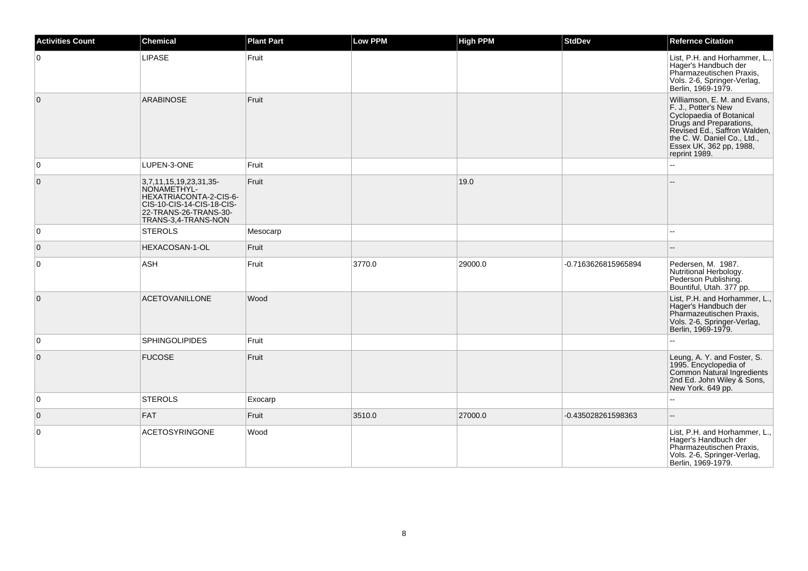| <b>Activities Count</b> | Chemical                                                                                                                                     | <b>Plant Part</b> | Low PPM | <b>High PPM</b> | <b>StdDev</b>       | <b>Refernce Citation</b>                                                                                                                                                                                              |
|-------------------------|----------------------------------------------------------------------------------------------------------------------------------------------|-------------------|---------|-----------------|---------------------|-----------------------------------------------------------------------------------------------------------------------------------------------------------------------------------------------------------------------|
| $\mathbf 0$             | <b>LIPASE</b>                                                                                                                                | Fruit             |         |                 |                     | List, P.H. and Horhammer, L.,<br>Hager's Handbuch der<br>Pharmazeutischen Praxis,<br>Vols. 2-6, Springer-Verlag,<br>Berlin, 1969-1979.                                                                                |
| $\overline{0}$          | <b>ARABINOSE</b>                                                                                                                             | Fruit             |         |                 |                     | Williamson, E. M. and Evans,<br>F. J., Potter's New<br>Cyclopaedia of Botanical<br>Drugs and Preparations,<br>Revised Ed., Saffron Walden,<br>the C. W. Daniel Co., Ltd.,<br>Essex UK, 362 pp, 1988,<br>reprint 1989. |
| $\mathbf 0$             | LUPEN-3-ONE                                                                                                                                  | Fruit             |         |                 |                     |                                                                                                                                                                                                                       |
| $\mathbf 0$             | 3,7,11,15,19,23,31,35-<br>NONAMETHYL-<br>HEXATRIACONTA-2-CIS-6-<br>CIS-10-CIS-14-CIS-18-CIS-<br>22-TRANS-26-TRANS-30-<br>TRANS-3,4-TRANS-NON | Fruit             |         | 19.0            |                     |                                                                                                                                                                                                                       |
| 0                       | <b>STEROLS</b>                                                                                                                               | Mesocarp          |         |                 |                     |                                                                                                                                                                                                                       |
| $\overline{0}$          | HEXACOSAN-1-OL                                                                                                                               | Fruit             |         |                 |                     |                                                                                                                                                                                                                       |
| $\mathbf 0$             | ASH                                                                                                                                          | Fruit             | 3770.0  | 29000.0         | -0.7163626815965894 | Pedersen, M. 1987.<br>Nutritional Herbology.<br>Pederson Publishing.<br>Bountiful, Utah. 377 pp.                                                                                                                      |
| $\overline{0}$          | <b>ACETOVANILLONE</b>                                                                                                                        | Wood              |         |                 |                     | List, P.H. and Horhammer, L.,<br>Hager's Handbuch der<br>Pharmazeutischen Praxis,<br>Vols. 2-6, Springer-Verlag,<br>Berlin, 1969-1979.                                                                                |
| 0                       | <b>SPHINGOLIPIDES</b>                                                                                                                        | Fruit             |         |                 |                     |                                                                                                                                                                                                                       |
| $\mathbf 0$             | <b>FUCOSE</b>                                                                                                                                | Fruit             |         |                 |                     | Leung, A. Y. and Foster, S.<br>1995. Encyclopedia of<br>Common Natural Ingredients<br>2nd Ed. John Wiley & Sons,<br>New York. 649 pp.                                                                                 |
| 0                       | <b>STEROLS</b>                                                                                                                               | Exocarp           |         |                 |                     | $\overline{a}$                                                                                                                                                                                                        |
| $\overline{0}$          | <b>FAT</b>                                                                                                                                   | Fruit             | 3510.0  | 27000.0         | -0.435028261598363  | --                                                                                                                                                                                                                    |
| 0                       | <b>ACETOSYRINGONE</b>                                                                                                                        | Wood              |         |                 |                     | List, P.H. and Horhammer, L.,<br>Hager's Handbuch der<br>Pharmazeutischen Praxis,<br>Vols. 2-6, Springer-Verlag,<br>Berlin, 1969-1979.                                                                                |